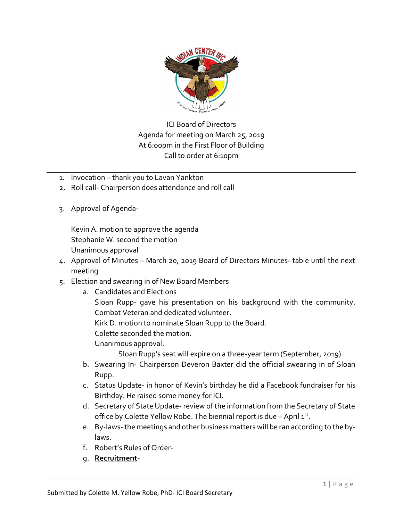

ICI Board of Directors Agenda for meeting on March 25, 2019 At 6:00pm in the First Floor of Building Call to order at 6:10pm

- 1. Invocation thank you to Lavan Yankton
- 2. Roll call- Chairperson does attendance and roll call
- 3. Approval of Agenda-

Kevin A. motion to approve the agenda Stephanie W. second the motion Unanimous approval

- 4. Approval of Minutes March 20, 2019 Board of Directors Minutes- table until the next meeting
- 5. Election and swearing in of New Board Members
	- a. Candidates and Elections
		- Sloan Rupp- gave his presentation on his background with the community. Combat Veteran and dedicated volunteer.

Kirk D. motion to nominate Sloan Rupp to the Board.

Colette seconded the motion.

Unanimous approval.

Sloan Rupp's seat will expire on a three-year term (September, 2019).

- b. Swearing In- Chairperson Deveron Baxter did the official swearing in of Sloan Rupp.
- c. Status Update- in honor of Kevin's birthday he did a Facebook fundraiser for his Birthday. He raised some money for ICI.
- d. Secretary of State Update- review of the information from the Secretary of State office by Colette Yellow Robe. The biennial report is due  $-$  April  $1<sup>st</sup>$ .
- e. By-laws-the meetings and other business matters will be ran according to the bylaws.
- f. Robert's Rules of Order-
- g. **Recruitment**-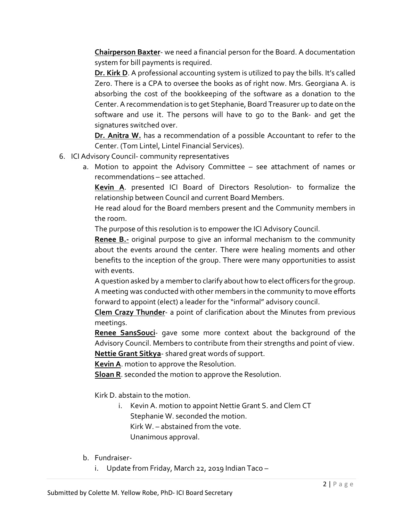**Chairperson Baxter**- we need a financial person for the Board. A documentation system for bill payments is required.

**Dr. Kirk D**. A professional accounting system is utilized to pay the bills. It's called Zero. There is a CPA to oversee the books as of right now. Mrs. Georgiana A. is absorbing the cost of the bookkeeping of the software as a donation to the Center. A recommendation is to get Stephanie, Board Treasurer up to date on the software and use it. The persons will have to go to the Bank- and get the signatures switched over.

**Dr. Anitra W.** has a recommendation of a possible Accountant to refer to the Center. (Tom Lintel, Lintel Financial Services).

- 6. ICI Advisory Council- community representatives
	- a. Motion to appoint the Advisory Committee see attachment of names or recommendations – see attached.

**Kevin A**. presented ICI Board of Directors Resolution- to formalize the relationship between Council and current Board Members.

He read aloud for the Board members present and the Community members in the room.

The purpose of this resolution is to empower the ICI Advisory Council.

**Renee B.-** original purpose to give an informal mechanism to the community about the events around the center. There were healing moments and other benefits to the inception of the group. There were many opportunities to assist with events.

A question asked by a member to clarify about how to elect officers for the group. A meeting was conducted with other members in the community to move efforts forward to appoint (elect) a leader for the "informal" advisory council.

**Clem Crazy Thunder**- a point of clarification about the Minutes from previous meetings.

**Renee SansSouci**- gave some more context about the background of the Advisory Council. Members to contribute from their strengths and point of view. **Nettie Grant Sitkya**- shared great words of support.

**Kevin A**. motion to approve the Resolution.

**Sloan R**. seconded the motion to approve the Resolution.

Kirk D. abstain to the motion.

- i. Kevin A. motion to appoint Nettie Grant S. and Clem CT Stephanie W. seconded the motion. Kirk W. – abstained from the vote. Unanimous approval.
- b. Fundraiser
	- i. Update from Friday, March 22, 2019 Indian Taco –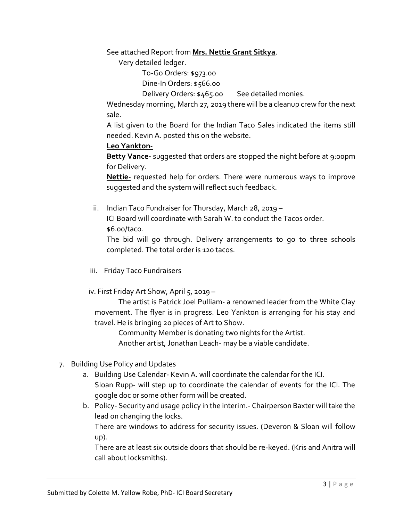See attached Report from **Mrs. Nettie Grant Sitkya**.

Very detailed ledger.

To-Go Orders: \$973.00

Dine-In Orders: \$566.00

Delivery Orders: \$465.00 See detailed monies.

Wednesday morning, March 27, 2019 there will be a cleanup crew for the next sale.

A list given to the Board for the Indian Taco Sales indicated the items still needed. Kevin A. posted this on the website.

## **Leo Yankton-**

**Betty Vance-** suggested that orders are stopped the night before at 9:00pm for Delivery.

**Nettie-** requested help for orders. There were numerous ways to improve suggested and the system will reflect such feedback.

 ii. Indian Taco Fundraiser for Thursday, March 28, 2019 – ICI Board will coordinate with Sarah W. to conduct the Tacos order. \$6.00/taco.

The bid will go through. Delivery arrangements to go to three schools completed. The total order is 120 tacos.

iii. Friday Taco Fundraisers

iv. First Friday Art Show, April 5, 2019 –

The artist is Patrick Joel Pulliam- a renowned leader from the White Clay movement. The flyer is in progress. Leo Yankton is arranging for his stay and travel. He is bringing 20 pieces of Art to Show.

Community Member is donating two nights for the Artist.

Another artist, Jonathan Leach- may be a viable candidate.

- 7. Building Use Policy and Updates
	- a. Building Use Calendar- Kevin A. will coordinate the calendar for the ICI. Sloan Rupp- will step up to coordinate the calendar of events for the ICI. The google doc or some other form will be created.
	- b. Policy- Security and usage policy in the interim.- Chairperson Baxter will take the lead on changing the locks.

There are windows to address for security issues. (Deveron & Sloan will follow up).

There are at least six outside doors that should be re-keyed. (Kris and Anitra will call about locksmiths).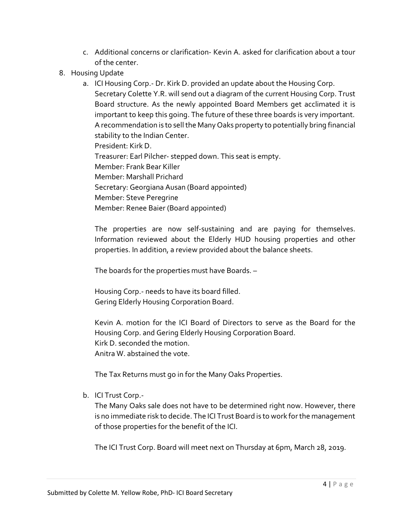- c. Additional concerns or clarification- Kevin A. asked for clarification about a tour of the center.
- 8. Housing Update
	- a. ICI Housing Corp.- Dr. Kirk D. provided an update about the Housing Corp. Secretary Colette Y.R. will send out a diagram of the current Housing Corp. Trust Board structure. As the newly appointed Board Members get acclimated it is important to keep this going. The future of these three boards is very important. A recommendation is to sell the Many Oaks property to potentially bring financial stability to the Indian Center. President: Kirk D. Treasurer: Earl Pilcher- stepped down. This seat is empty. Member: Frank Bear Killer Member: Marshall Prichard Secretary: Georgiana Ausan (Board appointed) Member: Steve Peregrine Member: Renee Baier (Board appointed)

The properties are now self-sustaining and are paying for themselves. Information reviewed about the Elderly HUD housing properties and other properties. In addition, a review provided about the balance sheets.

The boards for the properties must have Boards. –

Housing Corp.- needs to have its board filled. Gering Elderly Housing Corporation Board.

Kevin A. motion for the ICI Board of Directors to serve as the Board for the Housing Corp. and Gering Elderly Housing Corporation Board. Kirk D. seconded the motion. Anitra W. abstained the vote.

The Tax Returns must go in for the Many Oaks Properties.

b. ICI Trust Corp.-

The Many Oaks sale does not have to be determined right now. However, there is no immediate risk to decide. The ICI Trust Board is to work for the management of those properties for the benefit of the ICI.

The ICI Trust Corp. Board will meet next on Thursday at 6pm, March 28, 2019.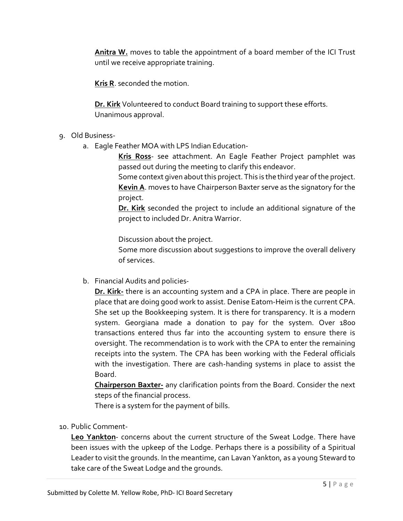**Anitra W.** moves to table the appointment of a board member of the ICI Trust until we receive appropriate training.

**Kris R**. seconded the motion.

**Dr. Kirk** Volunteered to conduct Board training to support these efforts. Unanimous approval.

- 9. Old Business
	- a. Eagle Feather MOA with LPS Indian Education-

**Kris Ross**- see attachment. An Eagle Feather Project pamphlet was passed out during the meeting to clarify this endeavor.

Some context given about this project. This is the third year of the project. **Kevin A**. moves to have Chairperson Baxter serve as the signatory for the project.

**Dr. Kirk** seconded the project to include an additional signature of the project to included Dr. Anitra Warrior.

Discussion about the project.

Some more discussion about suggestions to improve the overall delivery of services.

b. Financial Audits and policies-

**Dr. Kirk-** there is an accounting system and a CPA in place. There are people in place that are doing good work to assist. Denise Eatom-Heim is the current CPA. She set up the Bookkeeping system. It is there for transparency. It is a modern system. Georgiana made a donation to pay for the system. Over 1800 transactions entered thus far into the accounting system to ensure there is oversight. The recommendation is to work with the CPA to enter the remaining receipts into the system. The CPA has been working with the Federal officials with the investigation. There are cash-handing systems in place to assist the Board.

**Chairperson Baxter-** any clarification points from the Board. Consider the next steps of the financial process.

There is a system for the payment of bills.

10. Public Comment-

**Leo Yankton**- concerns about the current structure of the Sweat Lodge. There have been issues with the upkeep of the Lodge. Perhaps there is a possibility of a Spiritual Leader to visit the grounds. In the meantime, can Lavan Yankton, as a young Steward to take care of the Sweat Lodge and the grounds.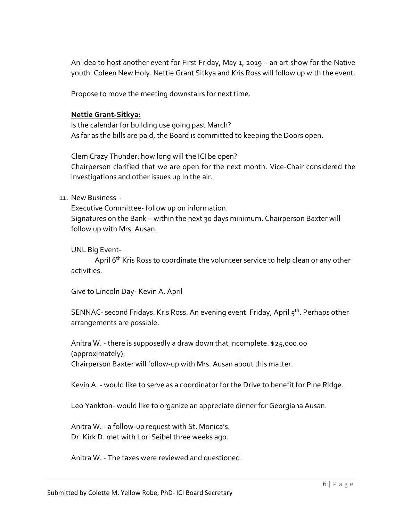An idea to host another event for First Friday, May 1, 2019 – an art show for the Native youth. Coleen New Holy. Nettie Grant Sitkya and Kris Ross will follow up with the event.

Propose to move the meeting downstairs for next time.

## **Nettie Grant-Sitkya:**

Is the calendar for building use going past March? As far as the bills are paid, the Board is committed to keeping the Doors open.

Clem Crazy Thunder: how long will the ICI be open? Chairperson clarified that we are open for the next month. Vice-Chair considered the investigations and other issues up in the air.

## 11. New Business -

Executive Committee- follow up on information. Signatures on the Bank – within the next 30 days minimum. Chairperson Baxter will follow up with Mrs. Ausan.

UNL Big Event-

April 6<sup>th</sup> Kris Ross to coordinate the volunteer service to help clean or any other activities.

Give to Lincoln Day- Kevin A. April

SENNAC- second Fridays. Kris Ross. An evening event. Friday, April  $5<sup>th</sup>$ . Perhaps other arrangements are possible.

Anitra W. - there is supposedly a draw down that incomplete. \$25,000.00 (approximately). Chairperson Baxter will follow-up with Mrs. Ausan about this matter.

Kevin A. - would like to serve as a coordinator for the Drive to benefit for Pine Ridge.

Leo Yankton- would like to organize an appreciate dinner for Georgiana Ausan.

Anitra W. - a follow-up request with St. Monica's. Dr. Kirk D. met with Lori Seibel three weeks ago.

Anitra W. - The taxes were reviewed and questioned.